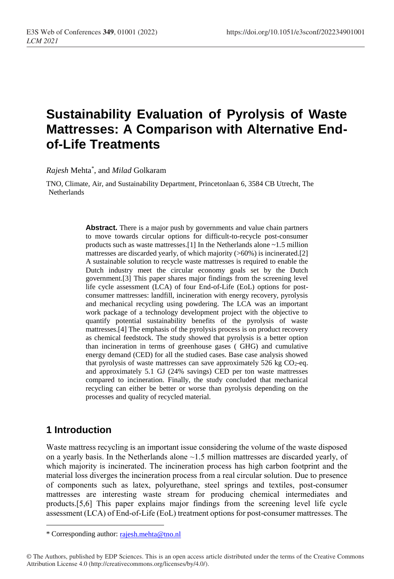# **Sustainability Evaluation of Pyrolysis of Waste Mattresses: A Comparison with Alternative Endof-Life Treatments**

*Rajesh* Mehta\* , and *Milad* Golkaram

TNO, Climate, Air, and Sustainability Department, Princetonlaan 6, 3584 CB Utrecht, The Netherlands

> **Abstract.** There is a major push by governments and value chain partners to move towards circular options for difficult-to-recycle post-consumer products such as waste mattresses.[1] In the Netherlands alone ~1.5 million mattresses are discarded yearly, of which majority  $($ >60%) is incinerated.[2] A sustainable solution to recycle waste mattresses is required to enable the Dutch industry meet the circular economy goals set by the Dutch government.[3] This paper shares major findings from the screening level life cycle assessment (LCA) of four End-of-Life (EoL) options for postconsumer mattresses: landfill, incineration with energy recovery, pyrolysis and mechanical recycling using powdering. The LCA was an important work package of a technology development project with the objective to quantify potential sustainability benefits of the pyrolysis of waste mattresses.[4] The emphasis of the pyrolysis process is on product recovery as chemical feedstock. The study showed that pyrolysis is a better option than incineration in terms of greenhouse gases ( GHG) and cumulative energy demand (CED) for all the studied cases. Base case analysis showed that pyrolysis of waste mattresses can save approximately  $526$  kg  $CO<sub>2</sub>$ -eq. and approximately 5.1 GJ (24% savings) CED per ton waste mattresses compared to incineration. Finally, the study concluded that mechanical recycling can either be better or worse than pyrolysis depending on the processes and quality of recycled material.

## **1 Introduction**

 $\overline{a}$ 

Waste mattress recycling is an important issue considering the volume of the waste disposed on a yearly basis. In the Netherlands alone  $\sim$  1.5 million mattresses are discarded yearly, of which majority is incinerated. The incineration process has high carbon footprint and the material loss diverges the incineration process from a real circular solution. Due to presence of components such as latex, polyurethane, steel springs and textiles, post-consumer mattresses are interesting waste stream for producing chemical intermediates and products.[5,6] This paper explains major findings from the screening level life cycle assessment (LCA) of End-of-Life (EoL) treatment options for post-consumer mattresses. The

<sup>\*</sup> Corresponding author: [rajesh.mehta@tno.nl](mailto:rajesh.mehta@tno.nl)

<sup>©</sup> The Authors, published by EDP Sciences. This is an open access article distributed under the terms of the Creative Commons Attribution License 4.0 (http://creativecommons.org/licenses/by/4.0/).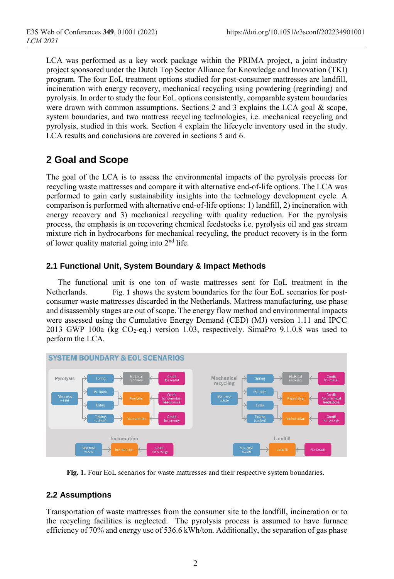LCA was performed as a key work package within the PRIMA project, a joint industry project sponsored under the Dutch Top Sector Alliance for Knowledge and Innovation (TKI) program. The four EoL treatment options studied for post-consumer mattresses are landfill, incineration with energy recovery, mechanical recycling using powdering (regrinding) and pyrolysis. In order to study the four EoL options consistently, comparable system boundaries were drawn with common assumptions. Sections 2 and 3 explains the LCA goal  $\&$  scope, system boundaries, and two mattress recycling technologies, i.e. mechanical recycling and pyrolysis, studied in this work. Section 4 explain the lifecycle inventory used in the study. LCA results and conclusions are covered in sections 5 and 6.

## **2 Goal and Scope**

The goal of the LCA is to assess the environmental impacts of the pyrolysis process for recycling waste mattresses and compare it with alternative end-of-life options. The LCA was performed to gain early sustainability insights into the technology development cycle. A comparison is performed with alternative end-of-life options: 1) landfill, 2) incineration with energy recovery and 3) mechanical recycling with quality reduction. For the pyrolysis process, the emphasis is on recovering chemical feedstocks i.e. pyrolysis oil and gas stream mixture rich in hydrocarbons for mechanical recycling, the product recovery is in the form of lower quality material going into 2<sup>nd</sup> life.

## **2.1 Functional Unit, System Boundary & Impact Methods**

The functional unit is one ton of waste mattresses sent for EoL treatment in the Netherlands. [Fig.](#page-1-0) **1** shows the system boundaries for the four EoL scenarios for postconsumer waste mattresses discarded in the Netherlands. Mattress manufacturing, use phase and disassembly stages are out of scope. The energy flow method and environmental impacts were assessed using the Cumulative Energy Demand (CED) (MJ) version 1.11 and IPCC 2013 GWP 100a (kg  $CO_2$ -eq.) version 1.03, respectively. SimaPro 9.1.0.8 was used to perform the LCA.



<span id="page-1-0"></span> **Fig. 1.** Four EoL scenarios for waste mattresses and their respective system boundaries.

## **2.2 Assumptions**

Transportation of waste mattresses from the consumer site to the landfill, incineration or to the recycling facilities is neglected. The pyrolysis process is assumed to have furnace efficiency of 70% and energy use of 536.6 kWh/ton. Additionally, the separation of gas phase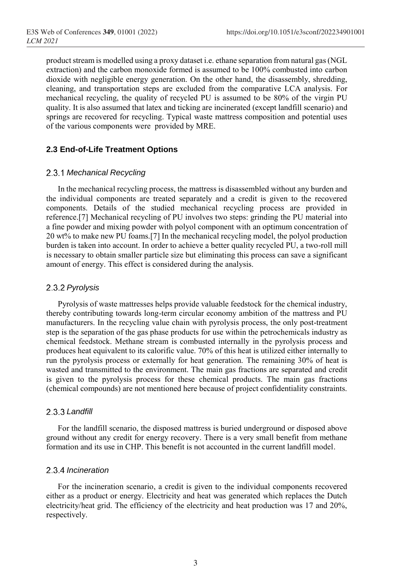product stream is modelled using a proxy dataset i.e. ethane separation from natural gas (NGL extraction) and the carbon monoxide formed is assumed to be 100% combusted into carbon dioxide with negligible energy generation. On the other hand, the disassembly, shredding, cleaning, and transportation steps are excluded from the comparative LCA analysis. For mechanical recycling, the quality of recycled PU is assumed to be 80% of the virgin PU quality. It is also assumed that latex and ticking are incinerated (except landfill scenario) and springs are recovered for recycling. Typical waste mattress composition and potential uses of the various components were provided by MRE.

#### **2.3 End-of-Life Treatment Options**

#### *Mechanical Recycling*

In the mechanical recycling process, the mattress is disassembled without any burden and the individual components are treated separately and a credit is given to the recovered components. Details of the studied mechanical recycling process are provided in reference.[7] Mechanical recycling of PU involves two steps: grinding the PU material into a fine powder and mixing powder with polyol component with an optimum concentration of 20 wt% to make new PU foams.[7] In the mechanical recycling model, the polyol production burden is taken into account. In order to achieve a better quality recycled PU, a two-roll mill is necessary to obtain smaller particle size but eliminating this process can save a significant amount of energy. This effect is considered during the analysis.

#### *Pyrolysis*

Pyrolysis of waste mattresses helps provide valuable feedstock for the chemical industry, thereby contributing towards long-term circular economy ambition of the mattress and PU manufacturers. In the recycling value chain with pyrolysis process, the only post-treatment step is the separation of the gas phase products for use within the petrochemicals industry as chemical feedstock. Methane stream is combusted internally in the pyrolysis process and produces heat equivalent to its calorific value. 70% of this heat is utilized either internally to run the pyrolysis process or externally for heat generation. The remaining 30% of heat is wasted and transmitted to the environment. The main gas fractions are separated and credit is given to the pyrolysis process for these chemical products. The main gas fractions (chemical compounds) are not mentioned here because of project confidentiality constraints.

#### *Landfill*

For the landfill scenario, the disposed mattress is buried underground or disposed above ground without any credit for energy recovery. There is a very small benefit from methane formation and its use in CHP. This benefit is not accounted in the current landfill model.

#### *Incineration*

For the incineration scenario, a credit is given to the individual components recovered either as a product or energy. Electricity and heat was generated which replaces the Dutch electricity/heat grid. The efficiency of the electricity and heat production was 17 and 20%, respectively.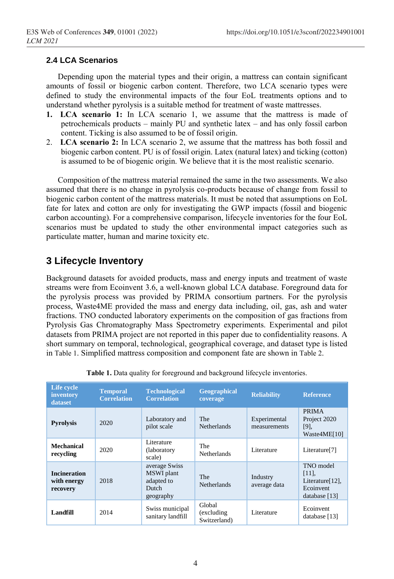## **2.4 LCA Scenarios**

Depending upon the material types and their origin, a mattress can contain significant amounts of fossil or biogenic carbon content. Therefore, two LCA scenario types were defined to study the environmental impacts of the four EoL treatments options and to understand whether pyrolysis is a suitable method for treatment of waste mattresses.

- **1. LCA scenario 1:** In LCA scenario 1, we assume that the mattress is made of petrochemicals products – mainly PU and synthetic latex – and has only fossil carbon content. Ticking is also assumed to be of fossil origin.
- 2. **LCA scenario 2:** In LCA scenario 2, we assume that the mattress has both fossil and biogenic carbon content. PU is of fossil origin. Latex (natural latex) and ticking (cotton) is assumed to be of biogenic origin. We believe that it is the most realistic scenario.

Composition of the mattress material remained the same in the two assessments. We also assumed that there is no change in pyrolysis co-products because of change from fossil to biogenic carbon content of the mattress materials. It must be noted that assumptions on EoL fate for latex and cotton are only for investigating the GWP impacts (fossil and biogenic carbon accounting). For a comprehensive comparison, lifecycle inventories for the four EoL scenarios must be updated to study the other environmental impact categories such as particulate matter, human and marine toxicity etc.

## **3 Lifecycle Inventory**

Background datasets for avoided products, mass and energy inputs and treatment of waste streams were from Ecoinvent 3.6, a well-known global LCA database. Foreground data for the pyrolysis process was provided by PRIMA consortium partners. For the pyrolysis process, Waste4ME provided the mass and energy data including, oil, gas, ash and water fractions. TNO conducted laboratory experiments on the composition of gas fractions from Pyrolysis Gas Chromatography Mass Spectrometry experiments. Experimental and pilot datasets from PRIMA project are not reported in this paper due to confidentiality reasons. A short summary on temporal, technological, geographical coverage, and dataset type is listed in [Table 1](#page-3-0). Simplified mattress composition and component fate are shown in [Table 2](#page-4-0).

<span id="page-3-0"></span>

| Life cycle<br>inventory<br>dataset             | <b>Temporal</b><br><b>Correlation</b> | <b>Technological</b><br><b>Correlation</b>                      | Geographical<br>coverage              | <b>Reliability</b>           | <b>Reference</b>                                                       |
|------------------------------------------------|---------------------------------------|-----------------------------------------------------------------|---------------------------------------|------------------------------|------------------------------------------------------------------------|
| <b>Pyrolysis</b>                               | 2020                                  | Laboratory and<br>pilot scale                                   | The<br><b>Netherlands</b>             | Experimental<br>measurements | <b>PRIMA</b><br>Project 2020<br>$[9]$ ,<br>Waste4ME[10]                |
| Mechanical<br>recycling                        | 2020                                  | Literature<br>(laboratory<br>scale)                             | The<br><b>Netherlands</b>             | Literature                   | Literature <sup>[7]</sup>                                              |
| <b>Incineration</b><br>with energy<br>recovery | 2018                                  | average Swiss<br>MSWI plant<br>adapted to<br>Dutch<br>geography | The<br><b>Netherlands</b>             | Industry<br>average data     | TNO model<br>$[11]$ ,<br>Literature[12].<br>Ecoinvent<br>database [13] |
| Landfill                                       | 2014                                  | Swiss municipal<br>sanitary landfill                            | Global<br>(excluding)<br>Switzerland) | Literature                   | Ecoinvent<br>database [13]                                             |

**Table 1.** Data quality for foreground and background lifecycle inventories.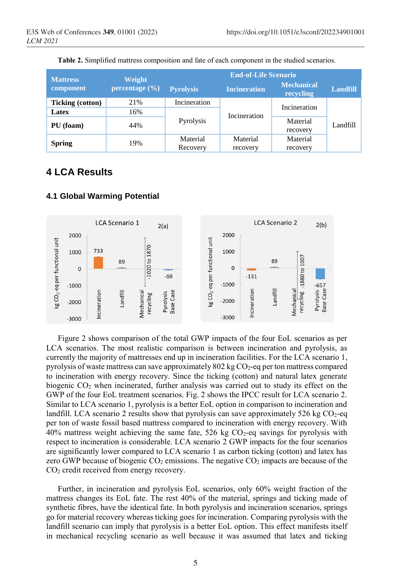<span id="page-4-0"></span>

| <b>Mattress</b>         | Weight         | <b>End-of-Life Scenario</b> |                      |                                |                 |  |
|-------------------------|----------------|-----------------------------|----------------------|--------------------------------|-----------------|--|
| component               | percentage (%) | <b>Pyrolysis</b>            | <b>Incineration</b>  | <b>Mechanical</b><br>recycling | <b>Landfill</b> |  |
| <b>Ticking (cotton)</b> | 21%            | Incineration                | Incineration         | Incineration                   | Landfill        |  |
| Latex                   | 16%            |                             |                      |                                |                 |  |
| PU (foam)               | 44%            | Pyrolysis                   |                      | Material<br>recovery           |                 |  |
| <b>Spring</b>           | 19%            | Material<br>Recovery        | Material<br>recovery | Material<br>recovery           |                 |  |

**Table 2.** Simplified mattress composition and fate of each component in the studied scenarios.

## **4 LCA Results**

#### **4.1 Global Warming Potential**



Figure 2 shows comparison of the total GWP impacts of the four EoL scenarios as per LCA scenarios. The most realistic comparison is between incineration and pyrolysis, as currently the majority of mattresses end up in incineration facilities. For the LCA scenario 1, pyrolysis of waste mattress can save approximately 802 kg CO2-eq per ton mattress compared to incineration with energy recovery. Since the ticking (cotton) and natural latex generate biogenic  $CO<sub>2</sub>$  when incinerated, further analysis was carried out to study its effect on the GWP of the four EoL treatment scenarios. Fig. 2 shows the IPCC result for LCA scenario 2. Similar to LCA scenario 1, pyrolysis is a better EoL option in comparison to incineration and landfill. LCA scenario 2 results show that pyrolysis can save approximately 526 kg  $CO<sub>2</sub>$ -eq per ton of waste fossil based mattress compared to incineration with energy recovery. With 40% mattress weight achieving the same fate, 526 kg  $CO<sub>2</sub>$ -eq savings for pyrolysis with respect to incineration is considerable. LCA scenario 2 GWP impacts for the four scenarios are significantly lower compared to LCA scenario 1 as carbon ticking (cotton) and latex has zero GWP because of biogenic  $CO_2$  emissions. The negative  $CO_2$  impacts are because of the CO<sub>2</sub> credit received from energy recovery.

Further, in incineration and pyrolysis EoL scenarios, only 60% weight fraction of the mattress changes its EoL fate. The rest 40% of the material, springs and ticking made of synthetic fibres, have the identical fate. In both pyrolysis and incineration scenarios, springs go for material recovery whereas ticking goes for incineration. Comparing pyrolysis with the landfill scenario can imply that pyrolysis is a better EoL option. This effect manifests itself in mechanical recycling scenario as well because it was assumed that latex and ticking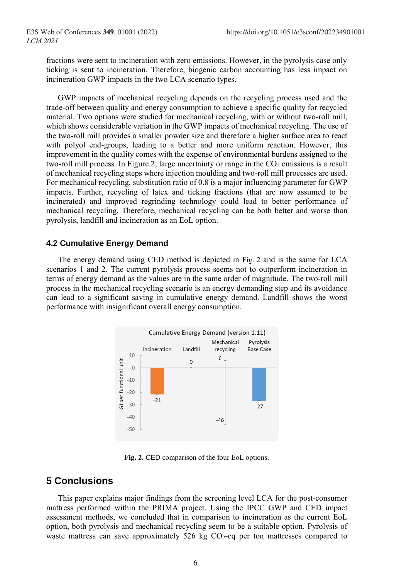fractions were sent to incineration with zero emissions. However, in the pyrolysis case only ticking is sent to incineration. Therefore, biogenic carbon accounting has less impact on incineration GWP impacts in the two LCA scenario types.

GWP impacts of mechanical recycling depends on the recycling process used and the trade-off between quality and energy consumption to achieve a specific quality for recycled material. Two options were studied for mechanical recycling, with or without two-roll mill, which shows considerable variation in the GWP impacts of mechanical recycling. The use of the two-roll mill provides a smaller powder size and therefore a higher surface area to react with polyol end-groups, leading to a better and more uniform reaction. However, this improvement in the quality comes with the expense of environmental burdens assigned to the two-roll mill process. In Figure 2, large uncertainty or range in the  $CO<sub>2</sub>$  emissions is a result of mechanical recycling steps where injection moulding and two-roll mill processes are used. For mechanical recycling, substitution ratio of 0.8 is a major influencing parameter for GWP impacts. Further, recycling of latex and ticking fractions (that are now assumed to be incinerated) and improved regrinding technology could lead to better performance of mechanical recycling. Therefore, mechanical recycling can be both better and worse than pyrolysis, landfill and incineration as an EoL option.

#### **4.2 Cumulative Energy Demand**

The energy demand using CED method is depicted in [Fig. 2](#page-5-0) and is the same for LCA scenarios 1 and 2. The current pyrolysis process seems not to outperform incineration in terms of energy demand as the values are in the same order of magnitude. The two-roll mill process in the mechanical recycling scenario is an energy demanding step and its avoidance can lead to a significant saving in cumulative energy demand. Landfill shows the worst performance with insignificant overall energy consumption.



**Fig. 2.** CED comparison of the four EoL options.

## <span id="page-5-0"></span>**5 Conclusions**

This paper explains major findings from the screening level LCA for the post-consumer mattress performed within the PRIMA project. Using the IPCC GWP and CED impact assessment methods, we concluded that in comparison to incineration as the current EoL option, both pyrolysis and mechanical recycling seem to be a suitable option. Pyrolysis of waste mattress can save approximately 526 kg  $CO<sub>2</sub>$ -eq per ton mattresses compared to